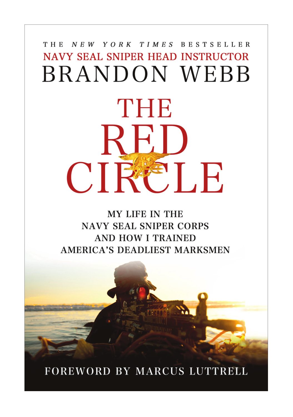#### THE NEW YORK TIMES BESTSELLER **NAVY SEAL SNIPER HEAD INSTRUCTOR** BRANDON WEBB

# THE  $RED$ CTRET.E

#### **MY LIFE IN THE NAVY SEAL SNIPER CORPS AND HOW I TRAINED AMERICA'S DEADLIEST MARKSMEN**

FOREWORD BY MARCUS LUTTRELL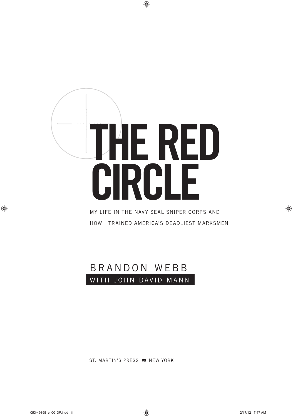

#### MY LIFE IN THE NAVY SEAL SNIPER CORPS AND HOW I TRAINED AMERICA'S DEADLIEST MARKSMEN

#### BRANDON WEBB WITH JOHN DAVID MANN

ST. MARTIN'S PRESS  $\approx$  NEW YORK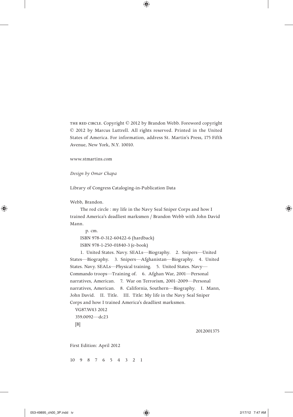the red circle. Copyright © 2012 by Brandon Webb. Foreword copyright © 2012 by Marcus Luttrell. All rights reserved. Printed in the United States of America. For information, address St. Martin's Press, 175 Fifth Avenue, New York, N.Y. 10010.

www .stmartins .com

*Design by Omar Chapa*

Library of Congress Cataloging-in-Publication Data

Webb, Brandon.

 The red circle : my life in the Navy Seal Sniper Corps and how I trained America's deadliest marksmen / Brandon Webb with John David Mann.

 p. cm. ISBN 978-0-312-60422-6 (hardback) ISBN 978-1-250-01840-3 (e-book)

 1. United States. Navy. SEALs—Biography. 2. Snipers—United States—Biography. 3. Snipers—Afghanistan—Biography. 4. United States. Navy. SEALs—Physical training. 5. United States. Navy— Commando troops—Training of. 6. Afghan War, 2001—Personal narratives, American. 7. War on Terrorism, 2001–2009—Personal narratives, American. 8. California, Southern—Biography. I. Mann, John David. II. Title. III. Title: My life in the Navy Seal Sniper Corps and how I trained America's deadliest marksmen.

 VG87.W43 2012 359.0092—dc23

 $[B]$ 

2012001375

First Edition: April 2012

10 9 8 7 6 5 4 3 2 1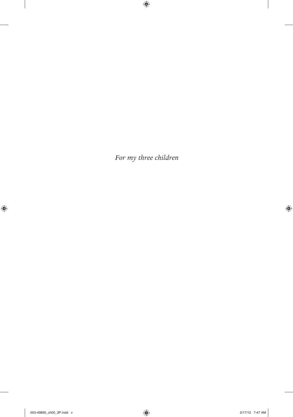*For my three children*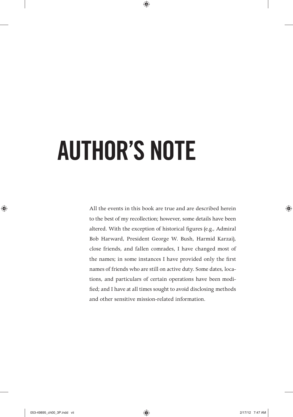## AUTHOR'S NOTE

All the events in this book are true and are described herein to the best of my recollection; however, some details have been altered. With the exception of historical figures (e.g., Admiral Bob Harward, President George W. Bush, Harmid Karzai), close friends, and fallen comrades, I have changed most of the names; in some instances I have provided only the first names of friends who are still on active duty. Some dates, locations, and particulars of certain operations have been modified; and I have at all times sought to avoid disclosing methods and other sensitive mission- related information.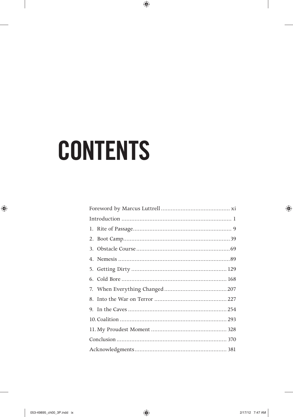## **CONTENTS**

| $\label{eq:1} \mbox{Introduction}\,\,\,\,\,\\$ |  |  |
|------------------------------------------------|--|--|
|                                                |  |  |
|                                                |  |  |
|                                                |  |  |
|                                                |  |  |
|                                                |  |  |
|                                                |  |  |
|                                                |  |  |
|                                                |  |  |
|                                                |  |  |
|                                                |  |  |
|                                                |  |  |
|                                                |  |  |
|                                                |  |  |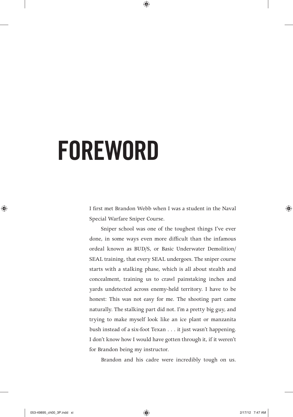### FOREWORD

I first met Brandon Webb when I was a student in the Naval Special Warfare Sniper Course.

Sniper school was one of the toughest things I've ever done, in some ways even more difficult than the infamous ordeal known as BUD/S, or Basic Underwater Demolition/ SEAL training, that every SEAL undergoes. The sniper course starts with a stalking phase, which is all about stealth and concealment, training us to crawl painstaking inches and yards undetected across enemy-held territory. I have to be honest: This was not easy for me. The shooting part came naturally. The stalking part did not. I'm a pretty big guy, and trying to make myself look like an ice plant or manzanita bush instead of a six- foot Texan . . . it just wasn't happening. I don't know how I would have gotten through it, if it weren't for Brandon being my instructor.

Brandon and his cadre were incredibly tough on us.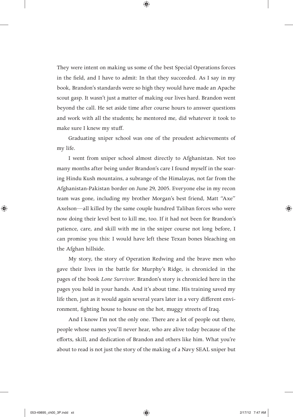They were intent on making us some of the best Special Operations forces in the field, and I have to admit: In that they succeeded. As I say in my book, Brandon's standards were so high they would have made an Apache scout gasp. It wasn't just a matter of making our lives hard. Brandon went beyond the call. He set aside time after course hours to answer questions and work with all the students; he mentored me, did whatever it took to make sure I knew my stuff.

Graduating sniper school was one of the proudest achievements of my life.

I went from sniper school almost directly to Afghanistan. Not too many months after being under Brandon's care I found myself in the soaring Hindu Kush mountains, a subrange of the Himalayas, not far from the Afghanistan- Pakistan border on June 29, 2005. Everyone else in my recon team was gone, including my brother Morgan's best friend, Matt "Axe" Axelson—all killed by the same couple hundred Taliban forces who were now doing their level best to kill me, too. If it had not been for Brandon's patience, care, and skill with me in the sniper course not long before, I can promise you this: I would have left these Texan bones bleaching on the Afghan hillside.

My story, the story of Operation Redwing and the brave men who gave their lives in the battle for Murphy's Ridge, is chronicled in the pages of the book *Lone Survivor.* Brandon's story is chronicled here in the pages you hold in your hands. And it's about time. His training saved my life then, just as it would again several years later in a very different environment, fighting house to house on the hot, muggy streets of Iraq.

And I know I'm not the only one. There are a lot of people out there, people whose names you'll never hear, who are alive today because of the efforts, skill, and dedication of Brandon and others like him. What you're about to read is not just the story of the making of a Navy SEAL sniper but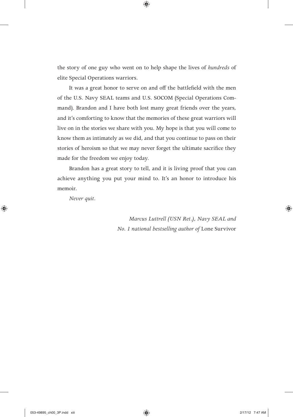the story of one guy who went on to help shape the lives of *hundreds* of elite Special Operations warriors.

It was a great honor to serve on and off the battlefield with the men of the U.S. Navy SEAL teams and U.S. SOCOM (Special Operations Command). Brandon and I have both lost many great friends over the years, and it's comforting to know that the memories of these great warriors will live on in the stories we share with you. My hope is that you will come to know them as intimately as we did, and that you continue to pass on their stories of heroism so that we may never forget the ultimate sacrifice they made for the freedom we enjoy today.

Brandon has a great story to tell, and it is living proof that you can achieve anything you put your mind to. It's an honor to introduce his memoir.

*Never quit.*

*Marcus Luttrell (USN Ret.), Navy SEAL and No. 1 national bestselling author of* Lone Survivor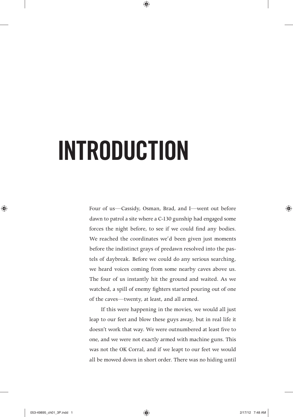### INTRODUCTION

Four of us-Cassidy, Osman, Brad, and I-went out before dawn to patrol a site where a C-130 gunship had engaged some forces the night before, to see if we could find any bodies. We reached the coordinates we'd been given just moments before the indistinct grays of predawn resolved into the pastels of daybreak. Before we could do any serious searching, we heard voices coming from some nearby caves above us. The four of us instantly hit the ground and waited. As we watched, a spill of enemy fighters started pouring out of one of the caves— twenty, at least, and all armed.

If this were happening in the movies, we would all just leap to our feet and blow these guys away, but in real life it doesn't work that way. We were outnumbered at least five to one, and we were not exactly armed with machine guns. This was not the OK Corral, and if we leapt to our feet we would all be mowed down in short order. There was no hiding until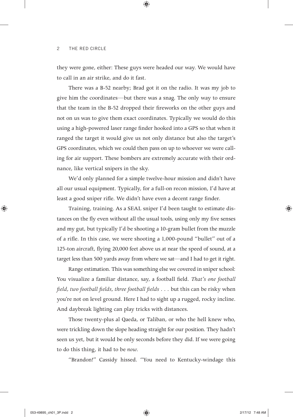they were gone, either: These guys were headed our way. We would have to call in an air strike, and do it fast.

There was a B-52 nearby; Brad got it on the radio. It was my job to give him the coordinates— but there was a snag. The only way to ensure that the team in the B-52 dropped their fireworks on the other guys and not on us was to give them exact coordinates. Typically we would do this using a high-powered laser range finder hooked into a GPS so that when it ranged the target it would give us not only distance but also the target's GPS coordinates, which we could then pass on up to whoever we were calling for air support. These bombers are extremely accurate with their ordnance, like vertical snipers in the sky.

We'd only planned for a simple twelve-hour mission and didn't have all our usual equipment. Typically, for a full-on recon mission, I'd have at least a good sniper rifle. We didn't have even a decent range finder.

Training, training. As a SEAL sniper I'd been taught to estimate distances on the fly even without all the usual tools, using only my five senses and my gut, but typically I'd be shooting a 10-gram bullet from the muzzle of a rifle. In this case, we were shooting a 1,000-pound "bullet" out of a 125-ton aircraft, flying 20,000 feet above us at near the speed of sound, at a target less than 500 yards away from where we sat— and I had to get it right.

Range estimation. This was something else we covered in sniper school: You visualize a familiar distance, say, a football field. *That's one football field, two football fields, three football fields* . . . but this can be risky when you're not on level ground. Here I had to sight up a rugged, rocky incline. And daybreak lighting can play tricks with distances.

Those twenty-plus al Qaeda, or Taliban, or who the hell knew who, were trickling down the slope heading straight for our position. They hadn't seen us yet, but it would be only seconds before they did. If we were going to do this thing, it had to be *now*.

"Brandon!" Cassidy hissed. "You need to Kentucky-windage this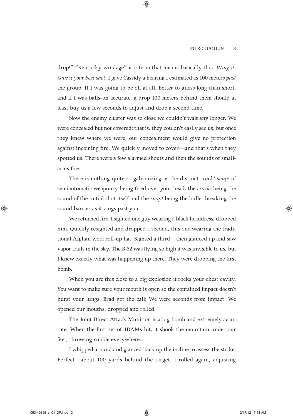drop!" "Kentucky windage" is a term that means basically this: *Wing it. Give it your best shot.* I gave Cassidy a bearing I estimated as 100 meters *past* the group. If I was going to be off at all, better to guess long than short, and if I was balls-on accurate, a drop 100 meters behind them should at least buy us a few seconds to adjust and drop a second time.

Now the enemy cluster was so close we couldn't wait any longer. We were concealed but not covered; that is, they couldn't easily see us, but once they knew where we were, our concealment would give no protection against incoming fire. We quickly moved to cover—and that's when they spotted us. There were a few alarmed shouts and then the sounds of smallarms fire.

There is nothing quite so galvanizing as the distinct *crack! snap!* of semiautomatic weaponry being fired over your head, the *crack!* being the sound of the initial shot itself and the *snap!* being the bullet breaking the sound barrier as it zings past you.

We returned fire. I sighted one guy wearing a black headdress, dropped him. Quickly resighted and dropped a second, this one wearing the traditional Afghan wool roll-up hat. Sighted a third-then glanced up and saw vapor trails in the sky. The B-52 was flying so high it was invisible to us, but I knew exactly what was happening up there: They were dropping the first bomb.

When you are this close to a big explosion it rocks your chest cavity. You want to make sure your mouth is open so the contained impact doesn't burst your lungs. Brad got the call: We were seconds from impact. We opened our mouths, dropped and rolled.

The Joint Direct Attack Munition is a big bomb and extremely accurate. When the first set of JDAMs hit, it shook the mountain under our feet, throwing rubble everywhere.

I whipped around and glanced back up the incline to assess the strike. Perfect— about 100 yards behind the target. I rolled again, adjusting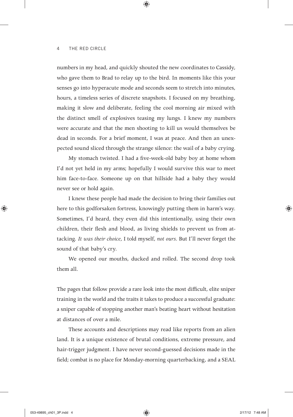numbers in my head, and quickly shouted the new coordinates to Cassidy, who gave them to Brad to relay up to the bird. In moments like this your senses go into hyperacute mode and seconds seem to stretch into minutes, hours, a timeless series of discrete snapshots. I focused on my breathing, making it slow and deliberate, feeling the cool morning air mixed with the distinct smell of explosives teasing my lungs. I knew my numbers were accurate and that the men shooting to kill us would themselves be dead in seconds. For a brief moment, I was at peace. And then an unexpected sound sliced through the strange silence: the wail of a baby crying.

My stomach twisted. I had a five-week-old baby boy at home whom I'd not yet held in my arms; hopefully I would survive this war to meet him face-to-face. Someone up on that hillside had a baby they would never see or hold again.

I knew these people had made the decision to bring their families out here to this godforsaken fortress, knowingly putting them in harm's way. Sometimes, I'd heard, they even did this intentionally, using their own children, their flesh and blood, as living shields to prevent us from attacking. *It was their choice,* I told myself, *not ours*. But I'll never forget the sound of that baby's cry.

We opened our mouths, ducked and rolled. The second drop took them all.

The pages that follow provide a rare look into the most difficult, elite sniper training in the world and the traits it takes to produce a successful graduate: a sniper capable of stopping another man's beating heart without hesitation at distances of over a mile.

These accounts and descriptions may read like reports from an alien land. It is a unique existence of brutal conditions, extreme pressure, and hair-trigger judgment. I have never second-guessed decisions made in the field; combat is no place for Monday-morning quarterbacking, and a SEAL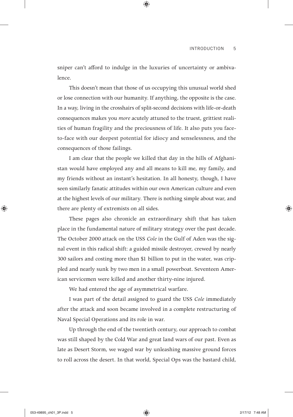sniper can't afford to indulge in the luxuries of uncertainty or ambivalence.

This doesn't mean that those of us occupying this unusual world shed or lose connection with our humanity. If anything, the opposite is the case. In a way, living in the crosshairs of split-second decisions with life-or-death consequences makes you *more* acutely attuned to the truest, grittiest realities of human fragility and the preciousness of life. It also puts you faceto-face with our deepest potential for idiocy and senselessness, and the consequences of those failings.

I am clear that the people we killed that day in the hills of Afghanistan would have employed any and all means to kill me, my family, and my friends without an instant's hesitation. In all honesty, though, I have seen similarly fanatic attitudes within our own American culture and even at the highest levels of our military. There is nothing simple about war, and there are plenty of extremists on all sides.

These pages also chronicle an extraordinary shift that has taken place in the fundamental nature of military strategy over the past decade. The October 2000 attack on the USS *Cole* in the Gulf of Aden was the signal event in this radical shift: a guided missile destroyer, crewed by nearly 300 sailors and costing more than \$1 billion to put in the water, was crippled and nearly sunk by two men in a small powerboat. Seventeen American servicemen were killed and another thirty-nine injured.

We had entered the age of asymmetrical warfare.

I was part of the detail assigned to guard the USS *Cole* immediately after the attack and soon became involved in a complete restructuring of Naval Special Operations and its role in war.

Up through the end of the twentieth century, our approach to combat was still shaped by the Cold War and great land wars of our past. Even as late as Desert Storm, we waged war by unleashing massive ground forces to roll across the desert. In that world, Special Ops was the bastard child,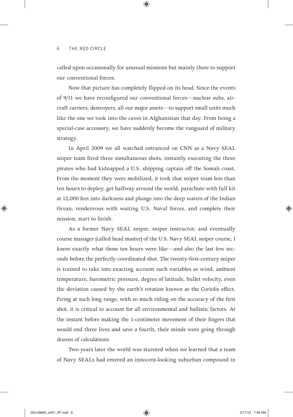called upon occasionally for unusual missions but mainly there to support our conventional forces.

Now that picture has completely flipped on its head. Since the events of 9/11 we have reconfigured our conventional forces—nuclear subs, aircraft carriers, destroyers, all our major assets— to support small units much like the one we took into the caves in Afghanistan that day. From being a special- case accessory, we have suddenly become the vanguard of military strategy.

In April 2009 we all watched entranced on CNN as a Navy SEAL sniper team fired three simultaneous shots, instantly executing the three pirates who had kidnapped a U.S. shipping captain off the Somali coast. From the moment they were mobilized, it took that sniper team less than ten hours to deploy, get halfway around the world, parachute with full kit at 12,000 feet into darkness and plunge into the deep waters of the Indian Ocean, rendezvous with waiting U.S. Naval forces, and complete their mission, start to finish.

As a former Navy SEAL sniper, sniper instructor, and eventually course manager (called head master) of the U.S. Navy SEAL sniper course, I know exactly what those ten hours were like— and also the last few seconds before the perfectly coordinated shot. The twenty-first-century sniper is trained to take into exacting account such variables as wind, ambient temperature, barometric pressure, degree of latitude, bullet velocity, even the deviation caused by the earth's rotation known as the Coriolis effect. Firing at such long range, with so much riding on the accuracy of the first shot, it is critical to account for all environmental and ballistic factors. At the instant before making the 1-centimeter movement of their fingers that would end three lives and save a fourth, their minds were going through dozens of calculations.

Two years later the world was stunned when we learned that a team of Navy SEALs had entered an innocent- looking suburban compound in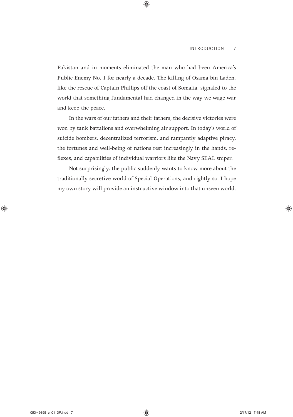Pakistan and in moments eliminated the man who had been America's Public Enemy No. 1 for nearly a decade. The killing of Osama bin Laden, like the rescue of Captain Phillips off the coast of Somalia, signaled to the world that something fundamental had changed in the way we wage war and keep the peace.

In the wars of our fathers and their fathers, the decisive victories were won by tank battalions and overwhelming air support. In today's world of suicide bombers, decentralized terrorism, and rampantly adaptive piracy, the fortunes and well-being of nations rest increasingly in the hands, reflexes, and capabilities of individual warriors like the Navy SEAL sniper.

Not surprisingly, the public suddenly wants to know more about the traditionally secretive world of Special Operations, and rightly so. I hope my own story will provide an instructive window into that unseen world.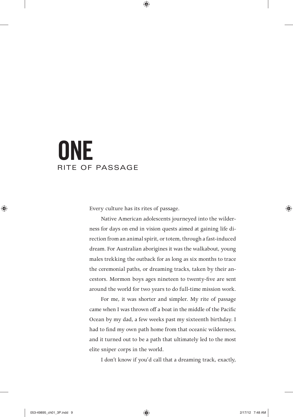### **ONE** RITE OF PASSAGE

Every culture has its rites of passage.

Native American adolescents journeyed into the wilderness for days on end in vision quests aimed at gaining life direction from an animal spirit, or totem, through a fast-induced dream. For Australian aborigines it was the walkabout, young males trekking the outback for as long as six months to trace the ceremonial paths, or dreaming tracks, taken by their ancestors. Mormon boys ages nineteen to twenty-five are sent around the world for two years to do full-time mission work.

For me, it was shorter and simpler. My rite of passage came when I was thrown off a boat in the middle of the Pacific Ocean by my dad, a few weeks past my sixteenth birthday. I had to find my own path home from that oceanic wilderness, and it turned out to be a path that ultimately led to the most elite sniper corps in the world.

I don't know if you'd call that a dreaming track, exactly,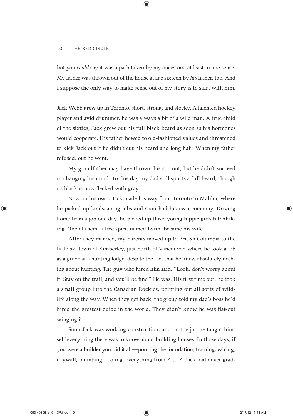but you *could* say it was a path taken by my ancestors, at least in one sense: My father was thrown out of the house at age sixteen by *his* father, too. And I suppose the only way to make sense out of my story is to start with him.

Jack Webb grew up in Toronto, short, strong, and stocky. A talented hockey player and avid drummer, he was always a bit of a wild man. A true child of the sixties, Jack grew out his full black beard as soon as his hormones would cooperate. His father hewed to old-fashioned values and threatened to kick Jack out if he didn't cut his beard and long hair. When my father refused, out he went.

My grandfather may have thrown his son out, but he didn't succeed in changing his mind. To this day my dad still sports a full beard, though its black is now flecked with gray.

Now on his own, Jack made his way from Toronto to Malibu, where he picked up landscaping jobs and soon had his own company. Driving home from a job one day, he picked up three young hippie girls hitchhiking. One of them, a free spirit named Lynn, became his wife.

After they married, my parents moved up to British Columbia to the little ski town of Kimberley, just north of Vancouver, where he took a job as a guide at a hunting lodge, despite the fact that he knew absolutely nothing about hunting. The guy who hired him said, "Look, don't worry about it. Stay on the trail, and you'll be fine." He was. His first time out, he took a small group into the Canadian Rockies, pointing out all sorts of wildlife along the way. When they got back, the group told my dad's boss he'd hired the greatest guide in the world. They didn't know he was flat-out winging it.

Soon Jack was working construction, and on the job he taught himself everything there was to know about building houses. In those days, if you were a builder you did it all— pouring the foundation, framing, wiring, drywall, plumbing, roofing, everything from *A* to *Z*. Jack had never grad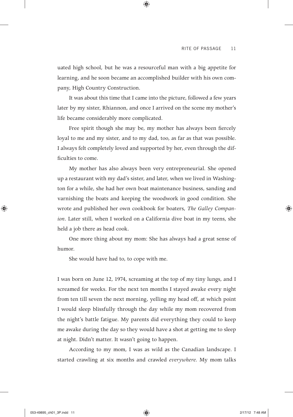uated high school, but he was a resourceful man with a big appetite for learning, and he soon became an accomplished builder with his own company, High Country Construction.

It was about this time that I came into the picture, followed a few years later by my sister, Rhiannon, and once I arrived on the scene my mother's life became considerably more complicated.

Free spirit though she may be, my mother has always been fiercely loyal to me and my sister, and to my dad, too, as far as that was possible. I always felt completely loved and supported by her, even through the difficulties to come.

My mother has also always been very entrepreneurial. She opened up a restaurant with my dad's sister, and later, when we lived in Washington for a while, she had her own boat maintenance business, sanding and varnishing the boats and keeping the woodwork in good condition. She wrote and published her own cookbook for boaters, *The Galley Companion.* Later still, when I worked on a California dive boat in my teens, she held a job there as head cook.

One more thing about my mom: She has always had a great sense of humor.

She would have had to, to cope with me.

I was born on June 12, 1974, screaming at the top of my tiny lungs, and I screamed for weeks. For the next ten months I stayed awake every night from ten till seven the next morning, yelling my head off, at which point I would sleep blissfully through the day while my mom recovered from the night's battle fatigue. My parents did everything they could to keep me awake during the day so they would have a shot at getting me to sleep at night. Didn't matter. It wasn't going to happen.

According to my mom, I was as wild as the Canadian landscape. I started crawling at six months and crawled *everywhere*. My mom talks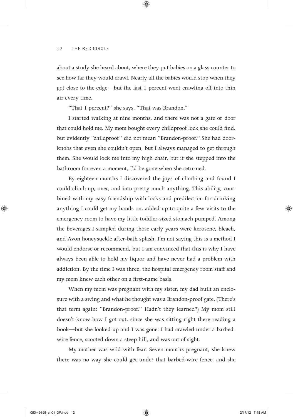about a study she heard about, where they put babies on a glass counter to see how far they would crawl. Nearly all the babies would stop when they got close to the edge— but the last 1 percent went crawling off into thin air every time.

"That 1 percent?" she says. "That was Brandon."

I started walking at nine months, and there was not a gate or door that could hold me. My mom bought every childproof lock she could find, but evidently "childproof" did not mean "Brandon-proof." She had doorknobs that even she couldn't open, but I always managed to get through them. She would lock me into my high chair, but if she stepped into the bathroom for even a moment, I'd be gone when she returned.

By eighteen months I discovered the joys of climbing and found I could climb up, over, and into pretty much anything. This ability, combined with my easy friendship with locks and predilection for drinking anything I could get my hands on, added up to quite a few visits to the emergency room to have my little toddler-sized stomach pumped. Among the beverages I sampled during those early years were kerosene, bleach, and Avon honeysuckle after-bath splash. I'm not saying this is a method I would endorse or recommend, but I am convinced that this is why I have always been able to hold my liquor and have never had a problem with addiction. By the time I was three, the hospital emergency room staff and my mom knew each other on a first-name basis.

When my mom was pregnant with my sister, my dad built an enclosure with a swing and what he thought was a Brandon-proof gate. (There's that term again: "Brandon-proof." Hadn't they learned?) My mom still doesn't know how I got out, since she was sitting right there reading a book— but she looked up and I was gone: I had crawled under a barbedwire fence, scooted down a steep hill, and was out of sight.

My mother was wild with fear. Seven months pregnant, she knew there was no way she could get under that barbed-wire fence, and she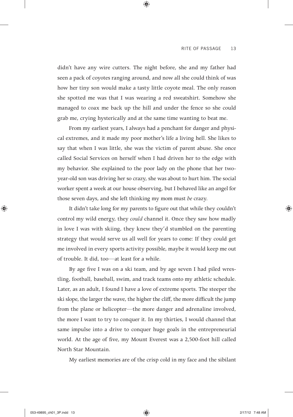didn't have any wire cutters. The night before, she and my father had seen a pack of coyotes ranging around, and now all she could think of was how her tiny son would make a tasty little coyote meal. The only reason she spotted me was that I was wearing a red sweatshirt. Somehow she managed to coax me back up the hill and under the fence so she could grab me, crying hysterically and at the same time wanting to beat me.

From my earliest years, I always had a penchant for danger and physical extremes, and it made my poor mother's life a living hell. She likes to say that when I was little, she was the victim of parent abuse. She once called Social Services on herself when I had driven her to the edge with my behavior. She explained to the poor lady on the phone that her twoyear- old son was driving her so crazy, she was about to hurt him. The social worker spent a week at our house observing, but I behaved like an angel for those seven days, and she left thinking my mom must *be* crazy.

It didn't take long for my parents to figure out that while they couldn't control my wild energy, they *could* channel it. Once they saw how madly in love I was with skiing, they knew they'd stumbled on the parenting strategy that would serve us all well for years to come: If they could get me involved in every sports activity possible, maybe it would keep me out of trouble. It did, too— at least for a while.

By age five I was on a ski team, and by age seven I had piled wrestling, football, baseball, swim, and track teams onto my athletic schedule. Later, as an adult, I found I have a love of extreme sports. The steeper the ski slope, the larger the wave, the higher the cliff, the more difficult the jump from the plane or helicopter— the more danger and adrenaline involved, the more I want to try to conquer it. In my thirties, I would channel that same impulse into a drive to conquer huge goals in the entrepreneurial world. At the age of five, my Mount Everest was a 2,500-foot hill called North Star Mountain.

My earliest memories are of the crisp cold in my face and the sibilant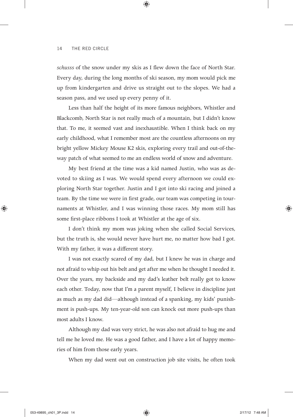*schusss* of the snow under my skis as I flew down the face of North Star. Every day, during the long months of ski season, my mom would pick me up from kindergarten and drive us straight out to the slopes. We had a season pass, and we used up every penny of it.

Less than half the height of its more famous neighbors, Whistler and Blackcomb, North Star is not really much of a mountain, but I didn't know that. To me, it seemed vast and inexhaustible. When I think back on my early childhood, what I remember most are the countless afternoons on my bright yellow Mickey Mouse K2 skis, exploring every trail and out-of-theway patch of what seemed to me an endless world of snow and adventure.

My best friend at the time was a kid named Justin, who was as devoted to skiing as I was. We would spend every afternoon we could exploring North Star together. Justin and I got into ski racing and joined a team. By the time we were in first grade, our team was competing in tournaments at Whistler, and I was winning those races. My mom still has some first-place ribbons I took at Whistler at the age of six.

I don't think my mom was joking when she called Social Services, but the truth is, she would never have hurt me, no matter how bad I got. With my father, it was a different story.

I was not exactly scared of my dad, but I knew he was in charge and not afraid to whip out his belt and get after me when he thought I needed it. Over the years, my backside and my dad's leather belt really got to know each other. Today, now that I'm a parent myself, I believe in discipline just as much as my dad did— although instead of a spanking, my kids' punishment is push-ups. My ten-year-old son can knock out more push-ups than most adults I know.

Although my dad was very strict, he was also not afraid to hug me and tell me he loved me. He was a good father, and I have a lot of happy memories of him from those early years.

When my dad went out on construction job site visits, he often took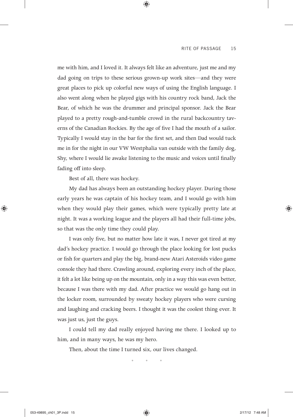me with him, and I loved it. It always felt like an adventure, just me and my dad going on trips to these serious grown-up work sites—and they were great places to pick up colorful new ways of using the English language. I also went along when he played gigs with his country rock band, Jack the Bear, of which he was the drummer and principal sponsor. Jack the Bear played to a pretty rough-and-tumble crowd in the rural backcountry taverns of the Canadian Rockies. By the age of five I had the mouth of a sailor. Typically I would stay in the bar for the first set, and then Dad would tuck me in for the night in our VW Westphalia van outside with the family dog, Shy, where I would lie awake listening to the music and voices until finally fading off into sleep.

Best of all, there was hockey.

My dad has always been an outstanding hockey player. During those early years he was captain of his hockey team, and I would go with him when they would play their games, which were typically pretty late at night. It was a working league and the players all had their full-time jobs, so that was the only time they could play.

I was only five, but no matter how late it was, I never got tired at my dad's hockey practice. I would go through the place looking for lost pucks or fish for quarters and play the big, brand-new Atari Asteroids video game console they had there. Crawling around, exploring every inch of the place, it felt a lot like being up on the mountain, only in a way this was even better, because I was there with my dad. After practice we would go hang out in the locker room, surrounded by sweaty hockey players who were cursing and laughing and cracking beers. I thought it was the coolest thing ever. It was just us, just the guys.

I could tell my dad really enjoyed having me there. I looked up to him, and in many ways, he was my hero.

Then, about the time I turned six, our lives changed.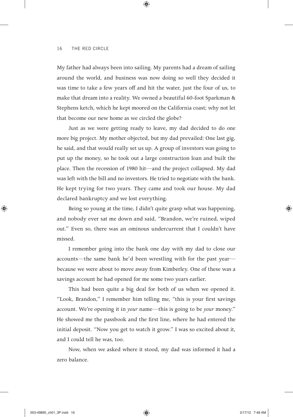My father had always been into sailing. My parents had a dream of sailing around the world, and business was now doing so well they decided it was time to take a few years off and hit the water, just the four of us, to make that dream into a reality. We owned a beautiful 60-foot Sparkman & Stephens ketch, which he kept moored on the California coast; why not let that become our new home as we circled the globe?

Just as we were getting ready to leave, my dad decided to do one more big project. My mother objected, but my dad prevailed: One last gig, he said, and that would really set us up. A group of investors was going to put up the money, so he took out a large construction loan and built the place. Then the recession of 1980 hit—and the project collapsed. My dad was left with the bill and no investors. He tried to negotiate with the bank. He kept trying for two years. They came and took our house. My dad declared bankruptcy and we lost everything.

Being so young at the time, I didn't quite grasp what was happening, and nobody ever sat me down and said, "Brandon, we're ruined, wiped out." Even so, there was an ominous undercurrent that I couldn't have missed.

I remember going into the bank one day with my dad to close our accounts— the same bank he'd been wrestling with for the past year because we were about to move away from Kimberley. One of these was a savings account he had opened for me some two years earlier.

This had been quite a big deal for both of us when we opened it. "Look, Brandon," I remember him telling me, "this is your first savings account. We're opening it in *your* name— this is going to be *your* money." He showed me the passbook and the first line, where he had entered the initial deposit. "Now you get to watch it grow." I was so excited about it, and I could tell he was, too.

Now, when we asked where it stood, my dad was informed it had a zero balance.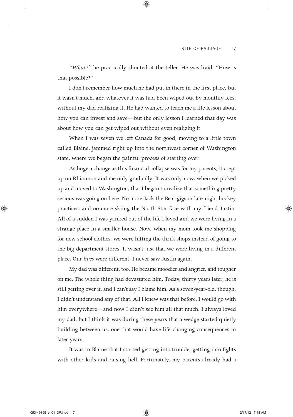*"What?"* he practically shouted at the teller. He was livid. "How is that possible?"

I don't remember how much he had put in there in the first place, but it wasn't much, and whatever it was had been wiped out by monthly fees, without my dad realizing it. He had wanted to teach me a life lesson about how you can invest and save— but the only lesson I learned that day was about how you can get wiped out without even realizing it.

When I was seven we left Canada for good, moving to a little town called Blaine, jammed right up into the northwest corner of Washington state, where we began the painful process of starting over.

As huge a change as this financial collapse was for my parents, it crept up on Rhiannon and me only gradually. It was only now, when we picked up and moved to Washington, that I began to realize that something pretty serious was going on here. No more Jack the Bear gigs or late-night hockey practices, and no more skiing the North Star face with my friend Justin. All of a sudden I was yanked out of the life I loved and we were living in a strange place in a smaller house. Now, when my mom took me shopping for new school clothes, we were hitting the thrift shops instead of going to the big department stores. It wasn't just that we were living in a different place. Our *lives* were different. I never saw Justin again.

My dad was different, too. He became moodier and angrier, and tougher on me. The whole thing had devastated him. Today, thirty years later, he is still getting over it, and I can't say I blame him. As a seven-year-old, though, I didn't understand any of that. All I knew was that before, I would go with him everywhere—and now I didn't see him all that much. I always loved my dad, but I think it was during these years that a wedge started quietly building between us, one that would have life- changing consequences in later years.

It was in Blaine that I started getting into trouble, getting into fights with other kids and raising hell. Fortunately, my parents already had a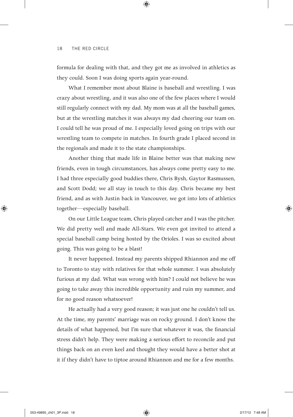formula for dealing with that, and they got me as involved in athletics as they could. Soon I was doing sports again year-round.

What I remember most about Blaine is baseball and wrestling. I was crazy about wrestling, and it was also one of the few places where I would still regularly connect with my dad. My mom was at all the baseball games, but at the wrestling matches it was always my dad cheering our team on. I could tell he was proud of me. I especially loved going on trips with our wrestling team to compete in matches. In fourth grade I placed second in the regionals and made it to the state championships.

Another thing that made life in Blaine better was that making new friends, even in tough circumstances, has always come pretty easy to me. I had three especially good buddies there, Chris Bysh, Gaytor Rasmussen, and Scott Dodd; we all stay in touch to this day. Chris became my best friend, and as with Justin back in Vancouver, we got into lots of athletics together— especially baseball.

On our Little League team, Chris played catcher and I was the pitcher. We did pretty well and made All-Stars. We even got invited to attend a special baseball camp being hosted by the Orioles. I was so excited about going. This was going to be a blast!

It never happened. Instead my parents shipped Rhiannon and me off to Toronto to stay with relatives for that whole summer. I was absolutely furious at my dad. What was wrong with him? I could not believe he was going to take away this incredible opportunity and ruin my summer, and for no good reason whatsoever!

He actually had a very good reason; it was just one he couldn't tell us. At the time, my parents' marriage was on rocky ground. I don't know the details of what happened, but I'm sure that whatever it was, the financial stress didn't help. They were making a serious effort to reconcile and put things back on an even keel and thought they would have a better shot at it if they didn't have to tiptoe around Rhiannon and me for a few months.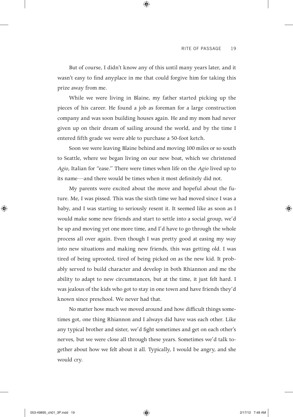But of course, I didn't know any of this until many years later, and it wasn't easy to find anyplace in me that could forgive him for taking this prize away from me.

While we were living in Blaine, my father started picking up the pieces of his career. He found a job as foreman for a large construction company and was soon building houses again. He and my mom had never given up on their dream of sailing around the world, and by the time I entered fifth grade we were able to purchase a 50-foot ketch.

Soon we were leaving Blaine behind and moving 100 miles or so south to Seattle, where we began living on our new boat, which we christened *Agio,* Italian for "ease." There were times when life on the *Agio* lived up to its name—and there would be times when it most definitely did not.

My parents were excited about the move and hopeful about the future. Me, I was pissed. This was the sixth time we had moved since I was a baby, and I was starting to seriously resent it. It seemed like as soon as I would make some new friends and start to settle into a social group, we'd be up and moving yet one more time, and I'd have to go through the whole process all over again. Even though I was pretty good at easing my way into new situations and making new friends, this was getting old. I was tired of being uprooted, tired of being picked on as the new kid. It probably served to build character and develop in both Rhiannon and me the ability to adapt to new circumstances, but at the time, it just felt hard. I was jealous of the kids who got to stay in one town and have friends they'd known since preschool. We never had that.

No matter how much we moved around and how difficult things sometimes got, one thing Rhiannon and I always did have was each other. Like any typical brother and sister, we'd fight sometimes and get on each other's nerves, but we were close all through these years. Sometimes we'd talk together about how we felt about it all. Typically, I would be angry, and she would cry.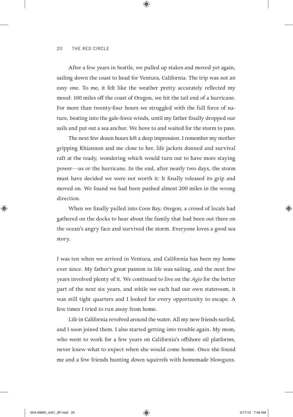After a few years in Seattle, we pulled up stakes and moved yet again, sailing down the coast to head for Ventura, California. The trip was not an easy one. To me, it felt like the weather pretty accurately reflected my mood: 100 miles off the coast of Oregon, we hit the tail end of a hurricane. For more than twenty-four hours we struggled with the full force of nature, beating into the gale-force winds, until my father finally dropped our sails and put out a sea anchor. We hove to and waited for the storm to pass.

The next few dozen hours left a deep impression. I remember my mother gripping Rhiannon and me close to her, life jackets donned and survival raft at the ready, wondering which would turn out to have more staying power— us or the hurricane. In the end, after nearly two days, the storm must have decided we were not worth it: It finally released its grip and moved on. We found we had been pushed almost 200 miles in the wrong direction.

When we finally pulled into Coos Bay, Oregon, a crowd of locals had gathered on the docks to hear about the family that had been out there on the ocean's angry face and survived the storm. Everyone loves a good sea story.

I was ten when we arrived in Ventura, and California has been my home ever since. My father's great passion in life was sailing, and the next few years involved plenty of it. We continued to live on the *Agio* for the better part of the next six years, and while we each had our own stateroom, it was still tight quarters and I looked for every opportunity to escape. A few times I tried to run away from home.

Life in California revolved around the water. All my new friends surfed, and I soon joined them. I also started getting into trouble again. My mom, who went to work for a few years on California's offshore oil platforms, never knew what to expect when she would come home. Once she found me and a few friends hunting down squirrels with homemade blowguns.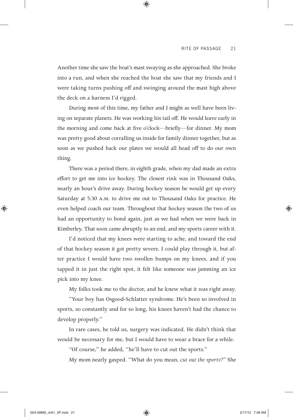Another time she saw the boat's mast swaying as she approached. She broke into a run, and when she reached the boat she saw that my friends and I were taking turns pushing off and swinging around the mast high above the deck on a harness I'd rigged.

During most of this time, my father and I might as well have been living on separate planets. He was working his tail off. He would leave early in the morning and come back at five o'clock—briefly—for dinner. My mom was pretty good about corralling us inside for family dinner together, but as soon as we pushed back our plates we would all head off to do our own thing.

There was a period there, in eighth grade, when my dad made an extra effort to get me into ice hockey. The closest rink was in Thousand Oaks, nearly an hour's drive away. During hockey season he would get up every Saturday at 5:30 a.m. to drive me out to Thousand Oaks for practice. He even helped coach our team. Throughout that hockey season the two of us had an opportunity to bond again, just as we had when we were back in Kimberley. That soon came abruptly to an end, and my sports career with it.

I'd noticed that my knees were starting to ache, and toward the end of that hockey season it got pretty severe. I could play through it, but after practice I would have two swollen bumps on my knees, and if you tapped it in just the right spot, it felt like someone was jamming an ice pick into my knee.

My folks took me to the doctor, and he knew what it was right away.

"Your boy has Osgood- Schlatter syndrome. He's been so involved in sports, so constantly and for so long, his knees haven't had the chance to develop properly."

In rare cases, he told us, surgery was indicated. He didn't think that would be necessary for me, but I would have to wear a brace for a while.

"Of course," he added, "he'll have to cut out the sports."

My mom nearly gasped. "What do you mean, *cut out the sports*?" She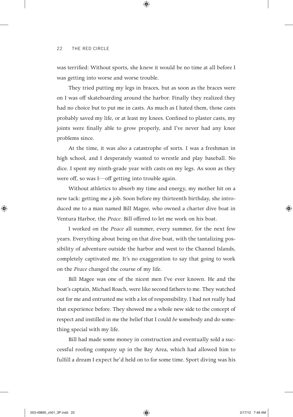was terrified: Without sports, she knew it would be no time at all before I was getting into worse and worse trouble.

They tried putting my legs in braces, but as soon as the braces were on I was off skateboarding around the harbor. Finally they realized they had no choice but to put me in casts. As much as I hated them, those casts probably saved my life, or at least my knees. Confined to plaster casts, my joints were finally able to grow properly, and I've never had any knee problems since.

At the time, it was also a catastrophe of sorts. I was a freshman in high school, and I desperately wanted to wrestle and play baseball. No dice. I spent my ninth-grade year with casts on my legs. As soon as they were off, so was I-off getting into trouble again.

Without athletics to absorb my time and energy, my mother hit on a new tack: getting me a job. Soon before my thirteenth birthday, she introduced me to a man named Bill Magee, who owned a charter dive boat in Ventura Harbor, the Peace. Bill offered to let me work on his boat.

I worked on the *Peace* all summer, every summer, for the next few years. Everything about being on that dive boat, with the tantalizing possibility of adventure outside the harbor and west to the Channel Islands, completely captivated me. It's no exaggeration to say that going to work on the *Peace* changed the course of my life.

Bill Magee was one of the nicest men I've ever known. He and the boat's captain, Michael Roach, were like second fathers to me. They watched out for me and entrusted me with a lot of responsibility. I had not really had that experience before. They showed me a whole new side to the concept of respect and instilled in me the belief that I could *be* somebody and do something special with my life.

Bill had made some money in construction and eventually sold a successful roofing company up in the Bay Area, which had allowed him to fulfill a dream I expect he'd held on to for some time. Sport diving was his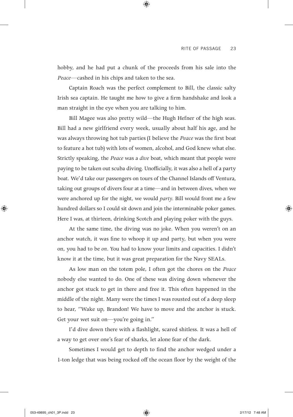hobby, and he had put a chunk of the proceeds from his sale into the *Peace*— cashed in his chips and taken to the sea.

Captain Roach was the perfect complement to Bill, the classic salty Irish sea captain. He taught me how to give a firm handshake and look a man straight in the eye when you are talking to him.

Bill Magee was also pretty wild— the Hugh Hefner of the high seas. Bill had a new girlfriend every week, usually about half his age, and he was always throwing hot tub parties (I believe the *Peace* was the first boat to feature a hot tub) with lots of women, alcohol, and God knew what else. Strictly speaking, the *Peace* was a *dive* boat, which meant that people were paying to be taken out scuba diving. Unofficially, it was also a hell of a party boat. We'd take our passengers on tours of the Channel Islands off Ventura, taking out groups of divers four at a time— and in between dives, when we were anchored up for the night, we would *party*. Bill would front me a few hundred dollars so I could sit down and join the interminable poker games. Here I was, at thirteen, drinking Scotch and playing poker with the guys.

At the same time, the diving was no joke. When you weren't on an anchor watch, it was fine to whoop it up and party, but when you were on, you had to be *on.* You had to know your limits and capacities. I didn't know it at the time, but it was great preparation for the Navy SEALs.

As low man on the totem pole, I often got the chores on the *Peace* nobody else wanted to do. One of these was diving down whenever the anchor got stuck to get in there and free it. This often happened in the middle of the night. Many were the times I was rousted out of a deep sleep to hear, "Wake up, Brandon! We have to move and the anchor is stuck. Get your wet suit on— you're going in."

I'd dive down there with a flashlight, scared shitless. It was a hell of a way to get over one's fear of sharks, let alone fear of the dark.

Sometimes I would get to depth to find the anchor wedged under a 1-ton ledge that was being rocked off the ocean floor by the weight of the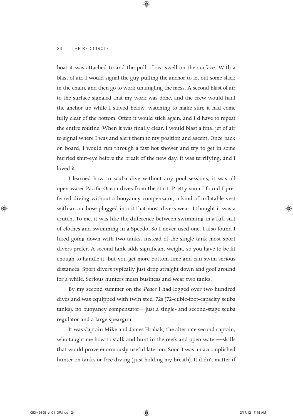boat it was attached to and the pull of sea swell on the surface. With a blast of air, I would signal the guy pulling the anchor to let out some slack in the chain, and then go to work untangling the mess. A second blast of air to the surface signaled that my work was done, and the crew would haul the anchor up while I stayed below, watching to make sure it had come fully clear of the bottom. Often it would stick again, and I'd have to repeat the entire routine. When it was finally clear, I would blast a final jet of air to signal where I was and alert them to my position and ascent. Once back on board, I would run through a fast hot shower and try to get in some hurried shut-eye before the break of the new day. It was terrifying, and I loved it.

I learned how to scuba dive without any pool sessions; it was all open-water Pacific Ocean dives from the start. Pretty soon I found I preferred diving without a buoyancy compensator, a kind of inflatable vest with an air hose plugged into it that most divers wear. I thought it was a crutch. To me, it was like the difference between swimming in a full suit of clothes and swimming in a Speedo. So I never used one. I also found I liked going down with two tanks, instead of the single tank most sport divers prefer. A second tank adds significant weight, so you have to be fit enough to handle it, but you get more bottom time and can swim serious distances. Sport divers typically just drop straight down and goof around for a while. Serious hunters mean business and wear two tanks.

By my second summer on the *Peace* I had logged over two hundred dives and was equipped with twin steel 72s (72-cubic-foot-capacity scuba tanks), no buoyancy compensator— just a single- and second- stage scuba regulator and a large speargun.

It was Captain Mike and James Hrabak, the alternate second captain, who taught me how to stalk and hunt in the reefs and open water— skills that would prove enormously useful later on. Soon I was an accomplished hunter on tanks or free diving ( just holding my breath). It didn't matter if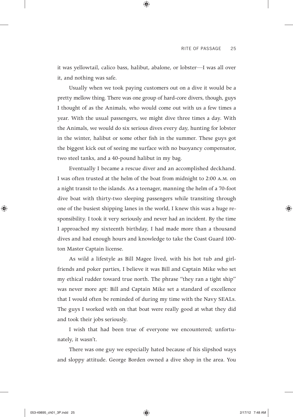it was yellowtail, calico bass, halibut, abalone, or lobster-I was all over it, and nothing was safe.

Usually when we took paying customers out on a dive it would be a pretty mellow thing. There was one group of hard-core divers, though, guys I thought of as the Animals, who would come out with us a few times a year. With the usual passengers, we might dive three times a day. With the Animals, we would do six serious dives every day, hunting for lobster in the winter, halibut or some other fish in the summer. These guys got the biggest kick out of seeing me surface with no buoyancy compensator, two steel tanks, and a 40-pound halibut in my bag.

Eventually I became a rescue diver and an accomplished deckhand. I was often trusted at the helm of the boat from midnight to 2:00 a.m. on a night transit to the islands. As a teenager, manning the helm of a 70-foot dive boat with thirty-two sleeping passengers while transiting through one of the busiest shipping lanes in the world, I knew this was a huge responsibility. I took it very seriously and never had an incident. By the time I approached my sixteenth birthday, I had made more than a thousand dives and had enough hours and knowledge to take the Coast Guard 100 ton Master Captain license.

As wild a lifestyle as Bill Magee lived, with his hot tub and girlfriends and poker parties, I believe it was Bill and Captain Mike who set my ethical rudder toward true north. The phrase "they ran a tight ship" was never more apt: Bill and Captain Mike set a standard of excellence that I would often be reminded of during my time with the Navy SEALs. The guys I worked with on that boat were really good at what they did and took their jobs seriously.

I wish that had been true of everyone we encountered; unfortunately, it wasn't.

There was one guy we especially hated because of his slipshod ways and sloppy attitude. George Borden owned a dive shop in the area. You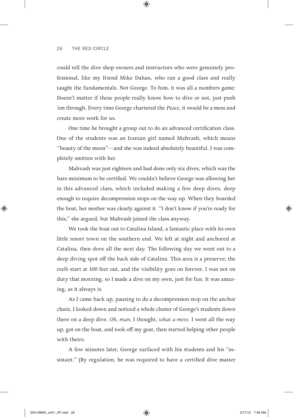could tell the dive shop owners and instructors who were genuinely professional, like my friend Mike Dahan, who ran a good class and really taught the fundamentals. Not George. To him, it was all a numbers game: Doesn't matter if these people really know how to dive or not, just push 'em through. Every time George chartered the *Peace,* it would be a mess and create more work for us.

One time he brought a group out to do an advanced certification class. One of the students was an Iranian girl named Mahvash, which means "beauty of the moon"— and she was indeed absolutely beautiful. I was completely smitten with her.

Mahvash was just eighteen and had done only six dives, which was the bare minimum to be certified. We couldn't believe George was allowing her in this advanced class, which included making a few deep dives, deep enough to require decompression stops on the way up. When they boarded the boat, her mother was clearly against it. "I don't know if you're ready for this," she argued, but Mahvash joined the class anyway.

We took the boat out to Catalina Island, a fantastic place with its own little resort town on the southern end. We left at night and anchored at Catalina, then dove all the next day. The following day we went out to a deep diving spot off the back side of Catalina. This area is a preserve; the reefs start at 100 feet out, and the visibility goes on forever. I was not on duty that morning, so I made a dive on my own, just for fun. It was amazing, as it always is.

As I came back up, pausing to do a decompression stop on the anchor chain, I looked down and noticed a whole cluster of George's students down there on a deep dive. *Oh, man,* I thought, *what a mess.* I went all the way up, got on the boat, and took off my gear, then started helping other people with theirs.

A few minutes later, George surfaced with his students and his "assistant." (By regulation, he was required to have a certified dive master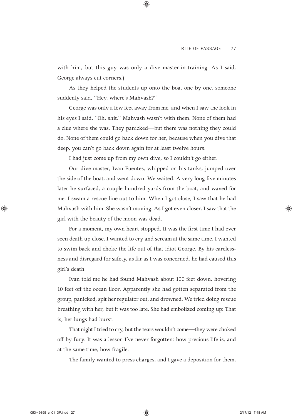with him, but this guy was only a dive master-in-training. As I said, George always cut corners.)

As they helped the students up onto the boat one by one, someone suddenly said, "Hey, where's Mahvash?"

George was only a few feet away from me, and when I saw the look in his eyes I said, "Oh, shit." Mahvash wasn't with them. None of them had a clue where she was. They panicked— but there was nothing they could do. None of them could go back down for her, because when you dive that deep, you can't go back down again for at least twelve hours.

I had just come up from my own dive, so I couldn't go either.

Our dive master, Ivan Fuentes, whipped on his tanks, jumped over the side of the boat, and went down. We waited. A very long five minutes later he surfaced, a couple hundred yards from the boat, and waved for me. I swam a rescue line out to him. When I got close, I saw that he had Mahvash with him. She wasn't moving. As I got even closer, I saw that the girl with the beauty of the moon was dead.

For a moment, my own heart stopped. It was the first time I had ever seen death up close. I wanted to cry and scream at the same time. I wanted to swim back and choke the life out of that idiot George. By his carelessness and disregard for safety, as far as I was concerned, he had caused this girl's death.

Ivan told me he had found Mahvash about 100 feet down, hovering 10 feet off the ocean floor. Apparently she had gotten separated from the group, panicked, spit her regulator out, and drowned. We tried doing rescue breathing with her, but it was too late. She had embolized coming up: That is, her lungs had burst.

That night I tried to cry, but the tears wouldn't come— they were choked off by fury. It was a lesson I've never forgotten: how precious life is, and at the same time, how fragile.

The family wanted to press charges, and I gave a deposition for them,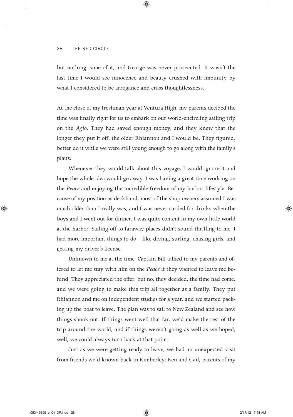but nothing came of it, and George was never prosecuted. It wasn't the last time I would see innocence and beauty crushed with impunity by what I considered to be arrogance and crass thoughtlessness.

At the close of my freshman year at Ventura High, my parents decided the time was finally right for us to embark on our world-encircling sailing trip on the *Agio.* They had saved enough money, and they knew that the longer they put it off, the older Rhiannon and I would be. They figured, better do it while we were still young enough to go along with the family's plans.

Whenever they would talk about this voyage, I would ignore it and hope the whole idea would go away. I was having a great time working on the *Peace* and enjoying the incredible freedom of my harbor lifestyle. Because of my position as deckhand, most of the shop owners assumed I was much older than I really was, and I was never carded for drinks when the boys and I went out for dinner. I was quite content in my own little world at the harbor. Sailing off to faraway places didn't sound thrilling to me. I had more important things to do—like diving, surfing, chasing girls, and getting my driver's license.

Unknown to me at the time, Captain Bill talked to my parents and offered to let me stay with him on the *Peace* if they wanted to leave me behind. They appreciated the offer, but no, they decided, the time had come, and we were going to make this trip all together as a family. They put Rhiannon and me on independent studies for a year, and we started packing up the boat to leave. The plan was to sail to New Zealand and see how things shook out. If things went well that far, we'd make the rest of the trip around the world, and if things weren't going as well as we hoped, well, we could always turn back at that point.

Just as we were getting ready to leave, we had an unexpected visit from friends we'd known back in Kimberley: Ken and Gail, parents of my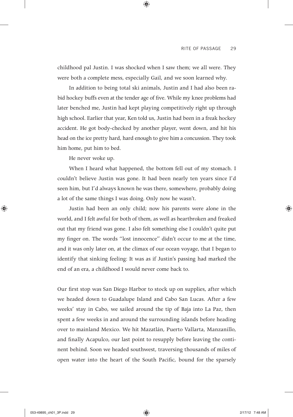childhood pal Justin. I was shocked when I saw them; we all were. They were both a complete mess, especially Gail, and we soon learned why.

In addition to being total ski animals, Justin and I had also been rabid hockey buffs even at the tender age of five. While my knee problems had later benched me, Justin had kept playing competitively right up through high school. Earlier that year, Ken told us, Justin had been in a freak hockey accident. He got body-checked by another player, went down, and hit his head on the ice pretty hard, hard enough to give him a concussion. They took him home, put him to bed.

He never woke up.

When I heard what happened, the bottom fell out of my stomach. I couldn't believe Justin was gone. It had been nearly ten years since I'd seen him, but I'd always known he was there, somewhere, probably doing a lot of the same things I was doing. Only now he wasn't.

Justin had been an only child; now his parents were alone in the world, and I felt awful for both of them, as well as heartbroken and freaked out that my friend was gone. I also felt something else I couldn't quite put my finger on. The words "lost innocence" didn't occur to me at the time, and it was only later on, at the climax of our ocean voyage, that I began to identify that sinking feeling: It was as if Justin's passing had marked the end of an era, a childhood I would never come back to.

Our first stop was San Diego Harbor to stock up on supplies, after which we headed down to Guadalupe Island and Cabo San Lucas. After a few weeks' stay in Cabo, we sailed around the tip of Baja into La Paz, then spent a few weeks in and around the surrounding islands before heading over to mainland Mexico. We hit Mazatlán, Puerto Vallarta, Manzanillo, and finally Acapulco, our last point to resupply before leaving the continent behind. Soon we headed southwest, traversing thousands of miles of open water into the heart of the South Pacific, bound for the sparsely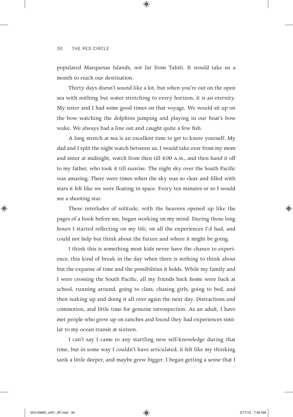populated Marquesas Islands, not far from Tahiti. It would take us a month to reach our destination.

Thirty days doesn't sound like a lot, but when you're out on the open sea with nothing but water stretching to every horizon, it is an eternity. My sister and I had some good times on that voyage. We would sit up on the bow watching the dolphins jumping and playing in our boat's bow wake. We always had a line out and caught quite a few fish.

A long stretch at sea is an excellent time to get to know yourself. My dad and I split the night watch between us. I would take over from my mom and sister at midnight, watch from then till 4:00 a.m., and then hand it off to my father, who took it till sunrise. The night sky over the South Pacific was amazing. There were times when the sky was so clear and filled with stars it felt like we were floating in space. Every ten minutes or so I would see a shooting star.

These interludes of solitude, with the heavens opened up like the pages of a book before me, began working on my mind. During those long hours I started reflecting on my life, on all the experiences I'd had, and could not help but think about the future and where it might be going.

I think this is something most kids never have the chance to experience, this kind of break in the day when there is nothing to think about but the expanse of time and the possibilities it holds. While my family and I were crossing the South Pacific, all my friends back home were back at school, running around, going to class, chasing girls, going to bed, and then waking up and doing it all over again the next day. Distractions and commotion, and little time for genuine introspection. As an adult, I have met people who grew up on ranches and found they had experiences similar to my ocean transit at sixteen.

I can't say I came to any startling new self-knowledge during that time, but in some way I couldn't have articulated, it felt like my thinking sank a little deeper, and maybe grew bigger. I began getting a sense that I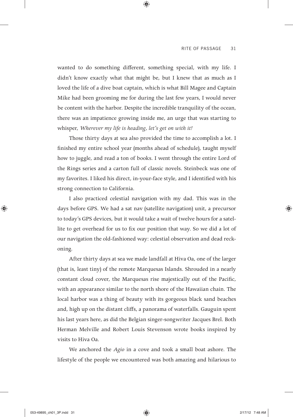wanted to do something different, something special, with my life. I didn't know exactly what that might be, but I knew that as much as I loved the life of a dive boat captain, which is what Bill Magee and Captain Mike had been grooming me for during the last few years, I would never be content with the harbor. Despite the incredible tranquility of the ocean, there was an impatience growing inside me, an urge that was starting to whisper, *Wherever my life is heading, let's get on with it!*

Those thirty days at sea also provided the time to accomplish a lot. I finished my entire school year (months ahead of schedule), taught myself how to juggle, and read a ton of books. I went through the entire Lord of the Rings series and a carton full of classic novels. Steinbeck was one of my favorites. I liked his direct, in-your-face style, and I identified with his strong connection to California.

I also practiced celestial navigation with my dad. This was in the days before GPS. We had a sat nav (satellite navigation) unit, a precursor to today's GPS devices, but it would take a wait of twelve hours for a satellite to get overhead for us to fix our position that way. So we did a lot of our navigation the old-fashioned way: celestial observation and dead reckoning.

After thirty days at sea we made landfall at Hiva Oa, one of the larger (that is, least tiny) of the remote Marquesas Islands. Shrouded in a nearly constant cloud cover, the Marquesas rise majestically out of the Pacific, with an appearance similar to the north shore of the Hawaiian chain. The local harbor was a thing of beauty with its gorgeous black sand beaches and, high up on the distant cliffs, a panorama of waterfalls. Gauguin spent his last years here, as did the Belgian singer- songwriter Jacques Brel. Both Herman Melville and Robert Louis Stevenson wrote books inspired by visits to Hiva Oa.

We anchored the *Agio* in a cove and took a small boat ashore. The lifestyle of the people we encountered was both amazing and hilarious to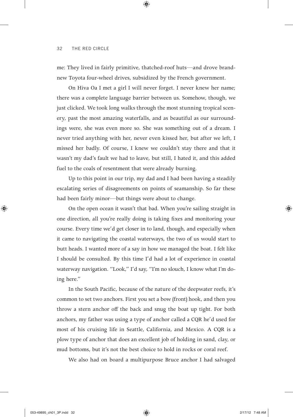me: They lived in fairly primitive, thatched-roof huts—and drove brandnew Toyota four-wheel drives, subsidized by the French government.

On Hiva Oa I met a girl I will never forget. I never knew her name; there was a complete language barrier between us. Somehow, though, we just clicked. We took long walks through the most stunning tropical scenery, past the most amazing waterfalls, and as beautiful as our surroundings were, she was even more so. She was something out of a dream. I never tried anything with her, never even kissed her, but after we left, I missed her badly. Of course, I knew we couldn't stay there and that it wasn't my dad's fault we had to leave, but still, I hated it, and this added fuel to the coals of resentment that were already burning.

Up to this point in our trip, my dad and I had been having a steadily escalating series of disagreements on points of seamanship. So far these had been fairly minor—but things were about to change.

On the open ocean it wasn't that bad. When you're sailing straight in one direction, all you're really doing is taking fixes and monitoring your course. Every time we'd get closer in to land, though, and especially when it came to navigating the coastal waterways, the two of us would start to butt heads. I wanted more of a say in how we managed the boat. I felt like I should be consulted. By this time I'd had a lot of experience in coastal waterway navigation. "Look," I'd say, "I'm no slouch, I know what I'm doing here."

In the South Pacific, because of the nature of the deepwater reefs, it's common to set two anchors. First you set a bow (front) hook, and then you throw a stern anchor off the back and snug the boat up tight. For both anchors, my father was using a type of anchor called a CQR he'd used for most of his cruising life in Seattle, California, and Mexico. A CQR is a plow type of anchor that does an excellent job of holding in sand, clay, or mud bottoms, but it's not the best choice to hold in rocks or coral reef.

We also had on board a multipurpose Bruce anchor I had salvaged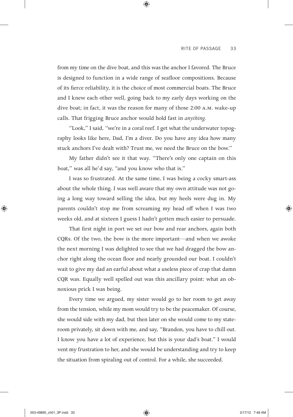from my time on the dive boat, and this was the anchor I favored. The Bruce is designed to function in a wide range of seafloor compositions. Because of its fierce reliability, it is the choice of most commercial boats. The Bruce and I knew each other well, going back to my early days working on the dive boat; in fact, it was the reason for many of those 2:00 A.M. wake-up calls. That frigging Bruce anchor would hold fast in *anything.*

"Look," I said, "we're in a coral reef. I get what the underwater topography looks like here, Dad, I'm a diver. Do you have any idea how many stuck anchors I've dealt with? Trust me, we need the Bruce on the bow."

My father didn't see it that way. "There's only one captain on this boat," was all he'd say, "and you know who that is."

I was so frustrated. At the same time, I was being a cocky smart-ass about the whole thing. I was well aware that my own attitude was not going a long way toward selling the idea, but my heels were dug in. My parents couldn't stop me from screaming my head off when I was two weeks old, and at sixteen I guess I hadn't gotten much easier to persuade.

That first night in port we set our bow and rear anchors, again both CQRs. Of the two, the bow is the more important— and when we awoke the next morning I was delighted to see that we had dragged the bow anchor right along the ocean floor and nearly grounded our boat. I couldn't wait to give my dad an earful about what a useless piece of crap that damn CQR was. Equally well spelled out was this ancillary point: what an obnoxious prick I was being.

Every time we argued, my sister would go to her room to get away from the tension, while my mom would try to be the peacemaker. Of course, she would side with my dad, but then later on she would come to my stateroom privately, sit down with me, and say, "Brandon, you have to chill out. I know you have a lot of experience, but this is your dad's boat." I would vent my frustration to her, and she would be understanding and try to keep the situation from spiraling out of control. For a while, she succeeded.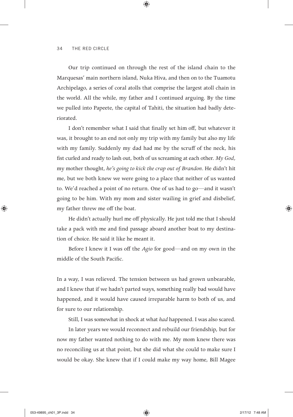Our trip continued on through the rest of the island chain to the Marquesas' main northern island, Nuka Hiva, and then on to the Tuamotu Archipelago, a series of coral atolls that comprise the largest atoll chain in the world. All the while, my father and I continued arguing. By the time we pulled into Papeete, the capital of Tahiti, the situation had badly deteriorated.

I don't remember what I said that finally set him off, but whatever it was, it brought to an end not only my trip with my family but also my life with my family. Suddenly my dad had me by the scruff of the neck, his fist curled and ready to lash out, both of us screaming at each other. My God, my mother thought, *he's going to kick the crap out of Brandon.* He didn't hit me, but we both knew we were going to a place that neither of us wanted to. We'd reached a point of no return. One of us had to go— and it wasn't going to be him. With my mom and sister wailing in grief and disbelief, my father threw me off the boat.

He didn't actually hurl me off physically. He just told me that I should take a pack with me and find passage aboard another boat to my destination of choice. He said it like he meant it.

Before I knew it I was off the *Agio* for good— and on my own in the middle of the South Pacific.

In a way, I was relieved. The tension between us had grown unbearable, and I knew that if we hadn't parted ways, something really bad would have happened, and it would have caused irreparable harm to both of us, and for sure to our relationship.

Still, I was somewhat in shock at what *had* happened. I was also scared.

In later years we would reconnect and rebuild our friendship, but for now my father wanted nothing to do with me. My mom knew there was no reconciling us at that point, but she did what she could to make sure I would be okay. She knew that if I could make my way home, Bill Magee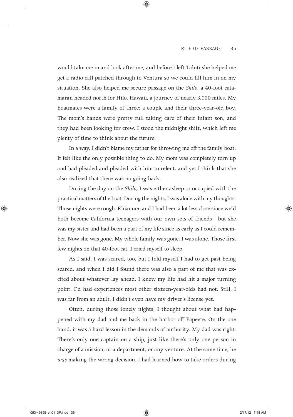would take me in and look after me, and before I left Tahiti she helped me get a radio call patched through to Ventura so we could fill him in on my situation. She also helped me secure passage on the *Shilo*, a 40-foot catamaran headed north for Hilo, Hawaii, a journey of nearly 3,000 miles. My boatmates were a family of three: a couple and their three-year-old boy. The mom's hands were pretty full taking care of their infant son, and they had been looking for crew. I stood the midnight shift, which left me plenty of time to think about the future.

In a way, I didn't blame my father for throwing me off the family boat. It felt like the only possible thing to do. My mom was completely torn up and had pleaded and pleaded with him to relent, and yet I think that she also realized that there was no going back.

During the day on the *Shilo,* I was either asleep or occupied with the practical matters of the boat. During the nights, I was alone with my thoughts. Those nights were rough. Rhiannon and I had been a lot less close since we'd both become California teenagers with our own sets of friends— but she was my sister and had been a part of my life since as early as I could remember. Now she was gone. My whole family was gone. I was alone. Those first few nights on that 40-foot cat, I cried myself to sleep.

As I said, I was scared, too, but I told myself I had to get past being scared, and when I did I found there was also a part of me that was excited about whatever lay ahead. I knew my life had hit a major turning point. I'd had experiences most other sixteen-year-olds had not. Still, I was far from an adult. I didn't even have my driver's license yet.

Often, during those lonely nights, I thought about what had happened with my dad and me back in the harbor off Papeete. On the one hand, it was a hard lesson in the demands of authority. My dad was right: There's only one captain on a ship, just like there's only one person in charge of a mission, or a department, or any venture. At the same time, he *was* making the wrong decision. I had learned how to take orders during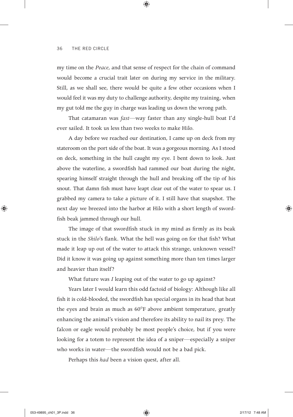my time on the *Peace,* and that sense of respect for the chain of command would become a crucial trait later on during my service in the military. Still, as we shall see, there would be quite a few other occasions when I would feel it was my duty to challenge authority, despite my training, when my gut told me the guy in charge was leading us down the wrong path.

That catamaran was *fast*—way faster than any single-hull boat I'd ever sailed. It took us less than two weeks to make Hilo.

A day before we reached our destination, I came up on deck from my stateroom on the port side of the boat. It was a gorgeous morning. As I stood on deck, something in the hull caught my eye. I bent down to look. Just above the waterline, a swordfish had rammed our boat during the night, spearing himself straight through the hull and breaking off the tip of his snout. That damn fish must have leapt clear out of the water to spear us. I grabbed my camera to take a picture of it. I still have that snapshot. The next day we breezed into the harbor at Hilo with a short length of swordfish beak jammed through our hull.

The image of that swordfish stuck in my mind as firmly as its beak stuck in the *Shilo's* flank. What the hell was going on for that fish? What made it leap up out of the water to attack this strange, unknown vessel? Did it know it was going up against something more than ten times larger and heavier than itself?

What future was *I* leaping out of the water to go up against?

Years later I would learn this odd factoid of biology: Although like all fish it is cold-blooded, the swordfish has special organs in its head that heat the eyes and brain as much as 60°F above ambient temperature, greatly enhancing the animal's vision and therefore its ability to nail its prey. The falcon or eagle would probably be most people's choice, but if you were looking for a totem to represent the idea of a sniper— especially a sniper who works in water—the swordfish would not be a bad pick.

Perhaps this *had* been a vision quest, after all.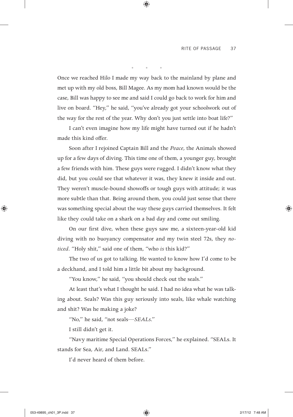Once we reached Hilo I made my way back to the mainland by plane and met up with my old boss, Bill Magee. As my mom had known would be the case, Bill was happy to see me and said I could go back to work for him and live on board. "Hey," he said, "you've already got your schoolwork out of the way for the rest of the year. Why don't you just settle into boat life?"

•••

I can't even imagine how my life might have turned out if he hadn't made this kind offer.

Soon after I rejoined Captain Bill and the *Peace,* the Animals showed up for a few days of diving. This time one of them, a younger guy, brought a few friends with him. These guys were rugged. I didn't know what they did, but you could see that whatever it was, they knew it inside and out. They weren't muscle-bound showoffs or tough guys with attitude; it was more subtle than that. Being around them, you could just sense that there was something special about the way these guys carried themselves. It felt like they could take on a shark on a bad day and come out smiling.

On our first dive, when these guys saw me, a sixteen-year-old kid diving with no buoyancy compensator and my twin steel 72s, they *noticed.* "Holy shit," said one of them, "who *is* this kid?"

The two of us got to talking. He wanted to know how I'd come to be a deckhand, and I told him a little bit about my background.

"You know," he said, "you should check out the seals."

At least that's what I thought he said. I had no idea what he was talking about. Seals? Was this guy seriously into seals, like whale watching and shit? Was he making a joke?

"No," he said, "not seals—*SEALs*."

I still didn't get it.

"Navy maritime Special Operations Forces," he explained. "SEALs. It stands for Sea, Air, and Land. SEALs."

I'd never heard of them before.